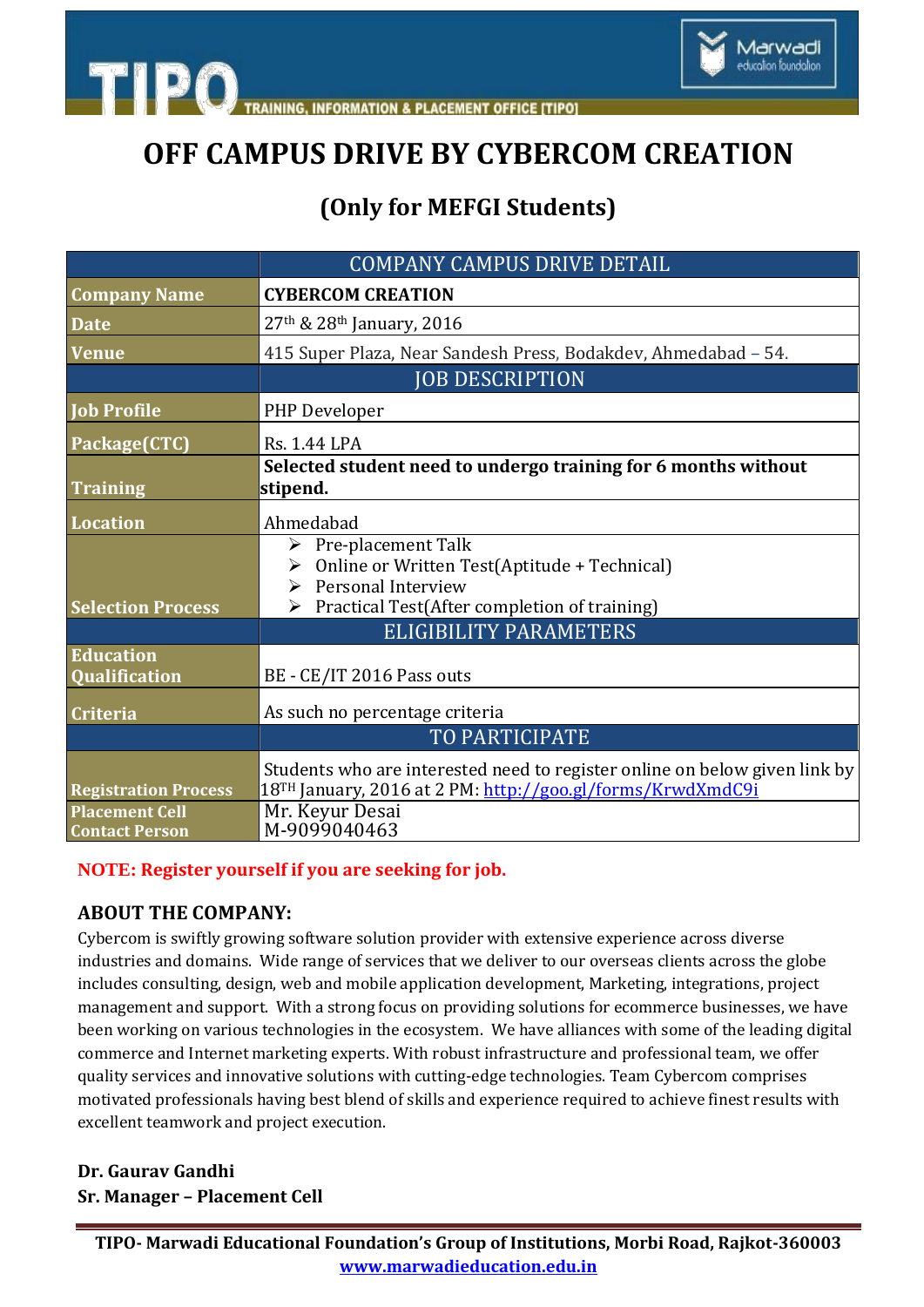

**ION & PLACEMENT OFFICE ITIPOT** 

## **OFF CAMPUS DRIVE BY CYBERCOM CREATION**

### **(Only for MEFGI Students)**

|                                                | <b>COMPANY CAMPUS DRIVE DETAIL</b>                                                                                                       |
|------------------------------------------------|------------------------------------------------------------------------------------------------------------------------------------------|
| <b>Company Name</b>                            | <b>CYBERCOM CREATION</b>                                                                                                                 |
| <b>Date</b>                                    | 27th & 28th January, 2016                                                                                                                |
| <b>Venue</b>                                   | 415 Super Plaza, Near Sandesh Press, Bodakdev, Ahmedabad - 54.                                                                           |
|                                                | <b>JOB DESCRIPTION</b>                                                                                                                   |
| <b>Iob Profile</b>                             | PHP Developer                                                                                                                            |
| Package(CTC)                                   | <b>Rs. 1.44 LPA</b>                                                                                                                      |
| <b>Training</b>                                | Selected student need to undergo training for 6 months without<br>stipend.                                                               |
| <b>Location</b>                                | Ahmedabad                                                                                                                                |
|                                                | $\triangleright$ Pre-placement Talk<br>> Online or Written Test(Aptitude + Technical)<br>$\triangleright$ Personal Interview             |
| <b>Selection Process</b>                       | Practical Test(After completion of training)<br>➤<br><b>ELIGIBILITY PARAMETERS</b>                                                       |
| <b>Education</b><br>Qualification              | BE - CE/IT 2016 Pass outs                                                                                                                |
| <b>Criteria</b>                                | As such no percentage criteria                                                                                                           |
|                                                | <b>TO PARTICIPATE</b>                                                                                                                    |
| <b>Registration Process</b>                    | Students who are interested need to register online on below given link by<br>18TH January, 2016 at 2 PM: http://goo.gl/forms/KrwdXmdC9i |
| <b>Placement Cell</b><br><b>Contact Person</b> | Mr. Keyur Desai<br>M-9099040463                                                                                                          |

#### **NOTE: Register yourself if you are seeking for job.**

#### **ABOUT THE COMPANY:**

**TIPO** 

Cybercom is swiftly growing software solution provider with extensive experience across diverse industries and domains. Wide range of services that we deliver to our overseas clients across the globe includes consulting, design, web and mobile application development, Marketing, integrations, project management and support. With a strong focus on providing solutions for ecommerce businesses, we have been working on various technologies in the ecosystem. We have alliances with some of the leading digital commerce and Internet marketing experts. With robust infrastructure and professional team, we offer quality services and innovative solutions with cutting-edge technologies. Team Cybercom comprises motivated professionals having best blend of skills and experience required to achieve finest results with excellent teamwork and project execution.

**Dr. Gaurav Gandhi Sr. Manager – Placement Cell**